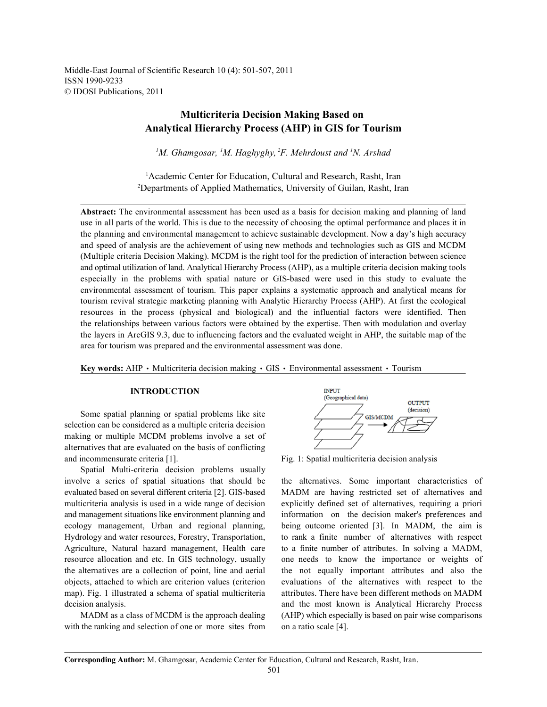Middle-East Journal of Scientific Research 10 (4): 501-507, 2011 ISSN 1990-9233 © IDOSI Publications, 2011

# **Multicriteria Decision Making Based on Analytical Hierarchy Process (AHP) in GIS for Tourism**

<sup>1</sup>M. Ghamgosar, <sup>1</sup>M. Haghyghy, <sup>2</sup>F. Mehrdoust and <sup>1</sup>N. Arshad

<sup>1</sup> Academic Center for Education, Cultural and Research, Rasht, Iran Departments of Applied Mathematics, University of Guilan, Rasht, Iran <sup>2</sup>

**Abstract:** The environmental assessment has been used as a basis for decision making and planning of land use in all parts of the world. This is due to the necessity of choosing the optimal performance and places it in the planning and environmental management to achieve sustainable development. Now a day's high accuracy and speed of analysis are the achievement of using new methods and technologies such as GIS and MCDM (Multiple criteria Decision Making). MCDM is the right tool for the prediction of interaction between science and optimal utilization of land. Analytical Hierarchy Process (AHP), as a multiple criteria decision making tools especially in the problems with spatial nature or GIS-based were used in this study to evaluate the environmental assessment of tourism. This paper explains a systematic approach and analytical means for tourism revival strategic marketing planning with Analytic Hierarchy Process (AHP). At first the ecological resources in the process (physical and biological) and the influential factors were identified. Then the relationships between various factors were obtained by the expertise. Then with modulation and overlay the layers in ArcGIS 9.3, due to influencing factors and the evaluated weight in AHP, the suitable map of the area for tourism was prepared and the environmental assessment was done.

**Key words:** AHP · Multicriteria decision making · GIS · Environmental assessment · Tourism

# **INTRODUCTION**

Some spatial planning or spatial problems like site selection can be considered as a multiple criteria decision making or multiple MCDM problems involve a set of alternatives that are evaluated on the basis of conflicting and incommensurate criteria [1]. Fig. 1: Spatial multicriteria decision analysis

Spatial Multi-criteria decision problems usually involve a series of spatial situations that should be the alternatives. Some important characteristics of evaluated based on several different criteria [2]. GIS-based MADM are having restricted set of alternatives and multicriteria analysis is used in a wide range of decision explicitly defined set of alternatives, requiring a priori and management situations like environment planning and information on the decision maker's preferences and ecology management, Urban and regional planning, being outcome oriented [3]. In MADM, the aim is Hydrology and water resources, Forestry, Transportation, to rank a finite number of alternatives with respect Agriculture, Natural hazard management, Health care to a finite number of attributes. In solving a MADM, resource allocation and etc. In GIS technology, usually one needs to know the importance or weights of the alternatives are a collection of point, line and aerial the not equally important attributes and also the objects, attached to which are criterion values (criterion evaluations of the alternatives with respect to the map). Fig. 1 illustrated a schema of spatial multicriteria attributes. There have been different methods on MADM decision analysis. The most known is Analytical Hierarchy Process and the most known is Analytical Hierarchy Process

with the ranking and selection of one or more sites from on a ratio scale [4].



MADM as a class of MCDM is the approach dealing (AHP) which especially is based on pair wise comparisons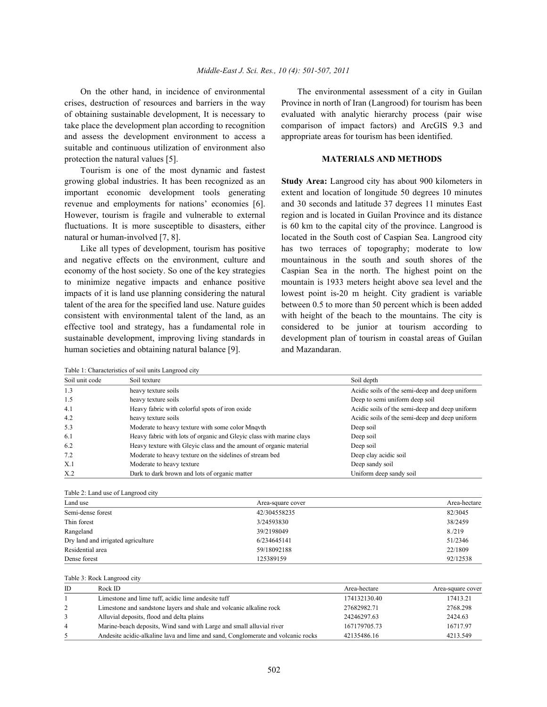On the other hand, in incidence of environmental The environmental assessment of a city in Guilan crises, destruction of resources and barriers in the way Province in north of Iran (Langrood) for tourism has been of obtaining sustainable development, It is necessary to evaluated with analytic hierarchy process (pair wise take place the development plan according to recognition comparison of impact factors) and ArcGIS 9.3 and and assess the development environment to access a appropriate areas for tourism has been identified. suitable and continuous utilization of environment also protection the natural values [5]. **MATERIALS AND METHODS**

Tourism is one of the most dynamic and fastest growing global industries. It has been recognized as an **Study Area:** Langrood city has about 900 kilometers in However, tourism is fragile and vulnerable to external region and is located in Guilan Province and its distance fluctuations. It is more susceptible to disasters, either is 60 km to the capital city of the province. Langrood is

and negative effects on the environment, culture and mountainous in the south and south shores of the economy of the host society. So one of the key strategies Caspian Sea in the north. The highest point on the to minimize negative impacts and enhance positive mountain is 1933 meters height above sea level and the impacts of it is land use planning considering the natural lowest point is-20 m height. City gradient is variable talent of the area for the specified land use. Nature guides between 0.5 to more than 50 percent which is been added consistent with environmental talent of the land, as an with height of the beach to the mountains. The city is effective tool and strategy, has a fundamental role in considered to be junior at tourism according to sustainable development, improving living standards in development plan of tourism in coastal areas of Guilan human societies and obtaining natural balance [9]. and Mazandaran.

important economic development tools generating extent and location of longitude 50 degrees 10 minutes revenue and employments for nations' economies [6]. and 30 seconds and latitude 37 degrees 11 minutes East natural or human-involved [7, 8]. located in the South cost of Caspian Sea. Langrood city Like all types of development, tourism has positive has two terraces of topography; moderate to low

| Table 1: Characteristics of soil units Langrood city |                                                                      |                                                |  |
|------------------------------------------------------|----------------------------------------------------------------------|------------------------------------------------|--|
| Soil unit code                                       | Soil texture                                                         | Soil depth                                     |  |
| 1.3                                                  | heavy texture soils                                                  | Acidic soils of the semi-deep and deep uniform |  |
| 1.5                                                  | heavy texture soils                                                  | Deep to semi uniform deep soil                 |  |
| 4.1                                                  | Heavy fabric with colorful spots of iron oxide                       | Acidic soils of the semi-deep and deep uniform |  |
| 4.2                                                  | heavy texture soils                                                  | Acidic soils of the semi-deep and deep uniform |  |
| 5.3                                                  | Moderate to heavy texture with some color Mnqvth                     | Deep soil                                      |  |
| 6.1                                                  | Heavy fabric with lots of organic and Gleyic class with marine clays | Deep soil                                      |  |
| 6.2                                                  | Heavy texture with Gleyic class and the amount of organic material   | Deep soil                                      |  |
| 7.2                                                  | Moderate to heavy texture on the sidelines of stream bed             | Deep clay acidic soil                          |  |
| X.1                                                  | Moderate to heavy texture                                            | Deep sandy soil                                |  |
| X.2                                                  | Dark to dark brown and lots of organic matter                        | Uniform deep sandy soil                        |  |

Table 2: Land use of Langrood city

| Land use                           | Area-square cover | Area-hectare |
|------------------------------------|-------------------|--------------|
| Semi-dense forest                  | 42/304558235      | 82/3045      |
| Thin forest                        | 3/24593830        | 38/2459      |
| Rangeland                          | 39/2198049        | 8./219       |
| Dry land and irrigated agriculture | 6/234645141       | 51/2346      |
| Residential area                   | 59/18092188       | 22/1809      |
| Dense forest                       | 125389159         | 92/12538     |

### Table 3: Rock Langrood city

| ID             | Rock ID                                                                          | Area-hectare | Area-square cover |
|----------------|----------------------------------------------------------------------------------|--------------|-------------------|
|                | Limestone and lime tuff, acidic lime andesite tuff                               | 174132130.40 | 17413.21          |
| 2              | Limestone and sandstone layers and shale and volcanic alkaline rock              | 27682982.71  | 2768.298          |
| 3              | Alluvial deposits, flood and delta plains                                        | 24246297.63  | 2424.63           |
| $\overline{4}$ | Marine-beach deposits, Wind sand with Large and small alluvial river             | 167179705.73 | 16717.97          |
| 5              | Andesite acidic-alkaline lava and lime and sand, Conglomerate and volcanic rocks | 42135486.16  | 4213.549          |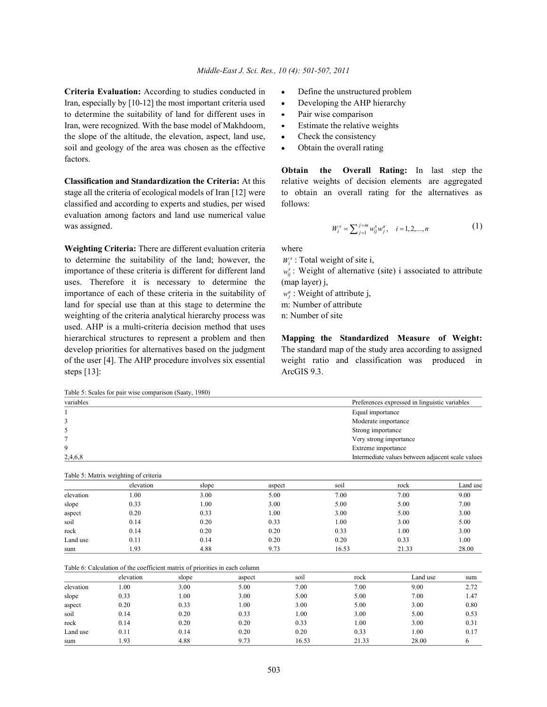**Criteria Evaluation:** According to studies conducted in **•** Define the unstructured problem Iran, especially by [10-12] the most important criteria used • Developing the AHP hierarchy to determine the suitability of land for different uses in • Pair wise comparison Iran, were recognized. With the base model of Makhdoom, • Estimate the relative weights the slope of the altitude, the elevation, aspect, land use, Check the consistency soil and geology of the area was chosen as the effective • Obtain the overall rating factors.

stage all the criteria of ecological models of Iran [12] were to obtain an overall rating for the alternatives as classified and according to experts and studies, per wised follows: evaluation among factors and land use numerical value was assigned. (1)  $W^s = \sum_{n=1}^{\infty} \sum_{n=1}^{\infty} w^s \cdot w^a$   $i = 1, 2, \dots, n$  (1)

**Weighting Criteria:** There are different evaluation criteria where to determine the suitability of the land; however, the importance of these criteria is different for different land uses. Therefore it is necessary to determine the (map layer) j, importance of each of these criteria in the suitability of land for special use than at this stage to determine the weighting of the criteria analytical hierarchy process was n: Number of site used. AHP is a multi-criteria decision method that uses hierarchical structures to represent a problem and then **Mapping the Standardized Measure of Weight:** develop priorities for alternatives based on the judgment The standard map of the study area according to assigned of the user [4]. The AHP procedure involves six essential weight ratio and classification was produced in steps [13]: ArcGIS 9.3.

- 
- 
- 
- 
- 

**Classification and Standardization the Criteria:** At this relative weights of decision elements are aggregated **Obtain the Overall Rating:** In last step the

$$
W_i^s = \sum_{j=1}^{j=m} w_{ij}^s w_j^a, \quad i = 1, 2, ..., n
$$
 (1)

 $W_i^s$ : Total weight of site i,

 $w_i^s$ : Weight of alternative (site) i associated to attribute

 $w_j^a$ : Weight of attribute j,<br>m: Number of attribute

Table 5: Scales for pair wise comparison (Saaty, 1980) variables Preferences expressed in linguistic variables

| valiables | references expressed in imguistic variables       |  |  |
|-----------|---------------------------------------------------|--|--|
|           | Equal importance                                  |  |  |
|           | Moderate importance                               |  |  |
|           | Strong importance                                 |  |  |
|           | Very strong importance                            |  |  |
|           | Extreme importance                                |  |  |
| 2,4,6,8   | Intermediate values between adjacent scale values |  |  |

Table 5: Matrix weighting of criteria elevation slope aspect soil rock Land use elevation 1.00 3.00 5.00 7.00 7.00 9.00 slope 0.33 1.00 3.00 5.00 5.00 5.00 7.00 aspect 0.20 0.33 1.00 3.00 5.00 3.00 soil 6.14 0.20 0.33 1.00 3.00 5.00 rock 0.14 0.20 0.20 0.33 1.00 3.00 Land use 0.11 0.14 0.20 0.20 0.33 1.00 sum 1.93 4.88 9.73 16.53 21.33 28.00

| Table 6: Calculation of the coefficient matrix of priorities in each column |  |  |
|-----------------------------------------------------------------------------|--|--|
|-----------------------------------------------------------------------------|--|--|

|           | elevation | slope | aspect | soil  | rock  | Land use | sum  |
|-----------|-----------|-------|--------|-------|-------|----------|------|
| elevation | 0.00      | 3.00  | 5.00   | 7.00  | 7.00  | 9.00     | 2.72 |
| slope     | 0.33      | 1.00  | 3.00   | 5.00  | 5.00  | 7.00     | 1.47 |
| aspect    | 0.20      | 0.33  | 1.00   | 3.00  | 5.00  | 3.00     | 0.80 |
| soil      | 0.14      | 0.20  | 0.33   | 1.00  | 3.00  | 5.00     | 0.53 |
| rock      | 0.14      | 0.20  | 0.20   | 0.33  | 00.1  | 3.00     | 0.31 |
| Land use  | 0.11      | 0.14  | 0.20   | 0.20  | 0.33  | 1.00     | 0.17 |
| sum       | 1.93      | 4.88  | 9.73   | 16.53 | 21.33 | 28.00    |      |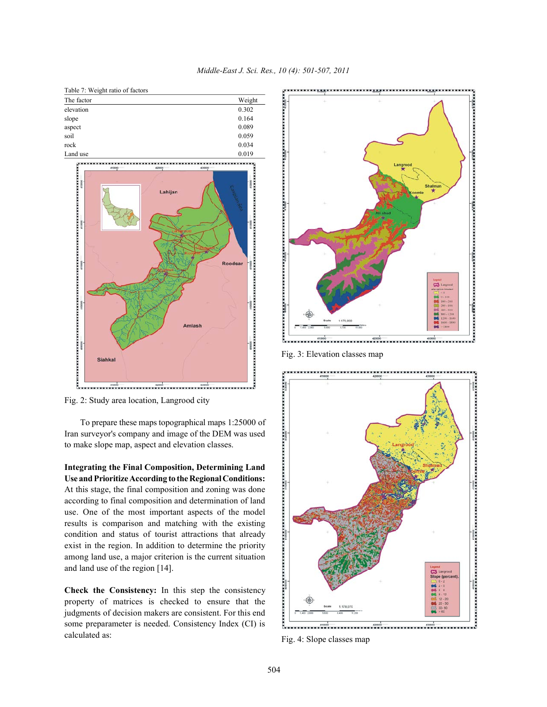

*Middle-East J. Sci. Res., 10 (4): 501-507, 2011*

Fig. 2: Study area location, Langrood city

To prepare these maps topographical maps 1:25000 of Iran surveyor's company and image of the DEM was used to make slope map, aspect and elevation classes.

**Integrating the Final Composition, Determining Land Use and Prioritize According to the Regional Conditions:** At this stage, the final composition and zoning was done according to final composition and determination of land use. One of the most important aspects of the model results is comparison and matching with the existing condition and status of tourist attractions that already exist in the region. In addition to determine the priority among land use, a major criterion is the current situation and land use of the region [14].

**Check the Consistency:** In this step the consistency property of matrices is checked to ensure that the judgments of decision makers are consistent. For this end some preparameter is needed. Consistency Index (CI) is calculated as:



Fig. 3: Elevation classes map



Fig. 4: Slope classes map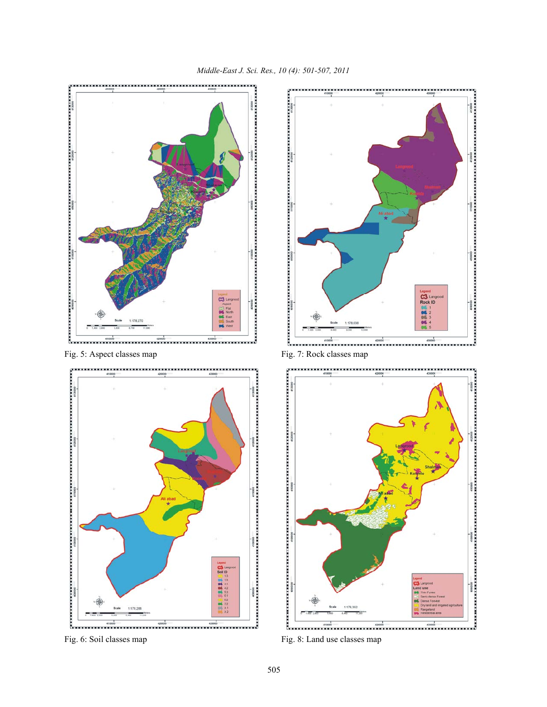



Fig. 6: Soil classes map Fig. 8: Land use classes map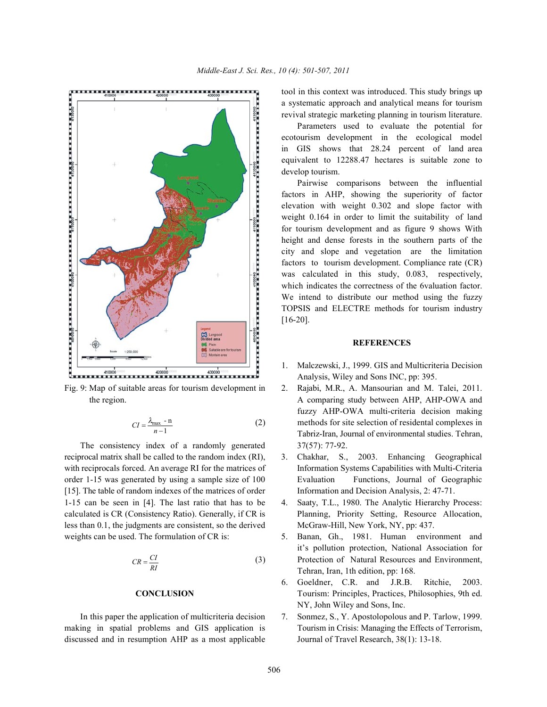

$$
CI = \frac{\lambda_{\text{max}} - n}{n - 1} \tag{2}
$$

The consistency index of a randomly generated  $37(57)$ : 77-92. reciprocal matrix shall be called to the random index (RI), 3. Chakhar, S., 2003. Enhancing Geographical [15]. The table of random indexes of the matrices of order Information and Decision Analysis, 2: 47-71. 1-15 can be seen in [4]. The last ratio that has to be 4. Saaty, T.L., 1980. The Analytic Hierarchy Process: less than 0.1, the judgments are consistent, so the derived McGraw-Hill, New York, NY, pp: 437. weights can be used. The formulation of CR is: 5. Banan, Gh., 1981. Human environment and

$$
CR = \frac{CI}{RI}
$$
 (3)

making in spatial problems and GIS application is Tourism in Crisis: Managing the Effects of Terrorism, discussed and in resumption AHP as a most applicable Journal of Travel Research, 38(1): 13-18.

tool in this context was introduced. This study brings up a systematic approach and analytical means for tourism revival strategic marketing planning in tourism literature.

Parameters used to evaluate the potential for ecotourism development in the ecological model in GIS shows that 28.24 percent of land area equivalent to 12288.47 hectares is suitable zone to develop tourism.

Pairwise comparisons between the influential factors in AHP, showing the superiority of factor elevation with weight 0.302 and slope factor with weight 0.164 in order to limit the suitability of land for tourism development and as figure 9 shows With height and dense forests in the southern parts of the city and slope and vegetation are the limitation factors to tourism development. Compliance rate (CR) was calculated in this study, 0.083, respectively, which indicates the correctness of the 6valuation factor. We intend to distribute our method using the fuzzy TOPSIS and ELECTRE methods for tourism industry [16-20].

## **REFERENCES**

- 1. Malczewski, J., 1999. GIS and Multicriteria Decision Analysis, Wiley and Sons INC, pp: 395.
- Fig. 9: Map of suitable areas for tourism development in 2. Rajabi, M.R., A. Mansourian and M. Talei, 2011. the region. A comparing study between AHP, AHP-OWA and methods for site selection of residental complexes in fuzzy AHP-OWA multi-criteria decision making Tabriz-Iran, Journal of environmental studies. Tehran,
- with reciprocals forced. An average RI for the matrices of Information Systems Capabilities with Multi-Criteria order 1-15 was generated by using a sample size of 100 Evaluation Functions, Journal of Geographic
- calculated is CR (Consistency Ratio). Generally, if CR is Planning, Priority Setting, Resource Allocation,
	- Protection of Natural Resources and Environment, it's pollution protection, National Association for Tehran, Iran, 1th edition, pp: 168.
	- **CONCLUSION** Tourism: Principles, Practices, Philosophies, 9th ed. 6. Goeldner, C.R. and J.R.B. Ritchie, 2003. NY, John Wiley and Sons, Inc.
	- In this paper the application of multicriteria decision 7. Sonmez, S., Y. Apostolopolous and P. Tarlow, 1999.